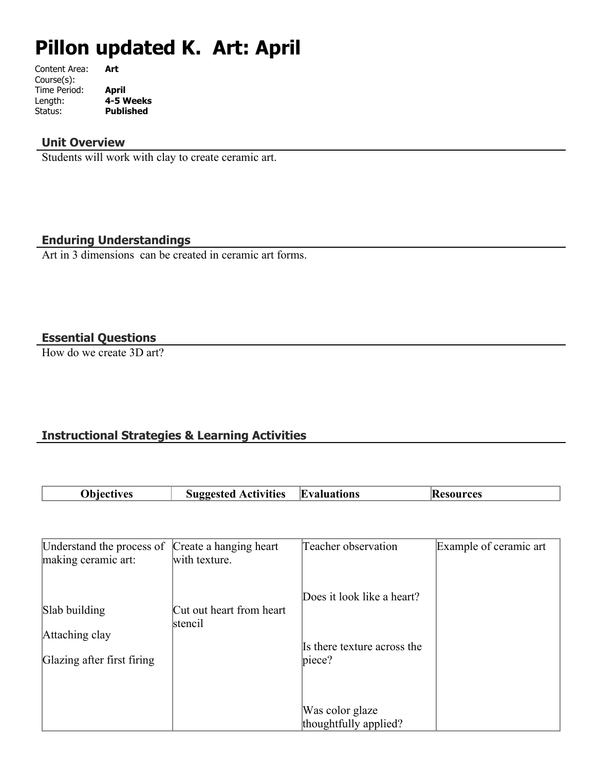# **Pillon updated K. Art: April**

| Art       |
|-----------|
|           |
| April     |
| 4-5 Weeks |
| Published |
|           |

#### **Unit Overview**

Students will work with clay to create ceramic art.

## **Enduring Understandings**

Art in 3 dimensions can be created in ceramic art forms.

## **Essential Questions**

How do we create 3D art?

## **Instructional Strategies & Learning Activities**

| <b>Diectives</b> | <b>Activities</b><br>Suggested | <b>Evaluations</b> | esources<br>IK. |
|------------------|--------------------------------|--------------------|-----------------|

| Understand the process of<br>making ceramic art:              | Create a hanging heart<br>with texture. | Teacher observation                                                 | Example of ceramic art |
|---------------------------------------------------------------|-----------------------------------------|---------------------------------------------------------------------|------------------------|
| Slab building<br>Attaching clay<br>Glazing after first firing | Cut out heart from heart<br>stencil     | Does it look like a heart?<br>Is there texture across the<br>piece? |                        |
|                                                               |                                         | Was color glaze<br>thoughtfully applied?                            |                        |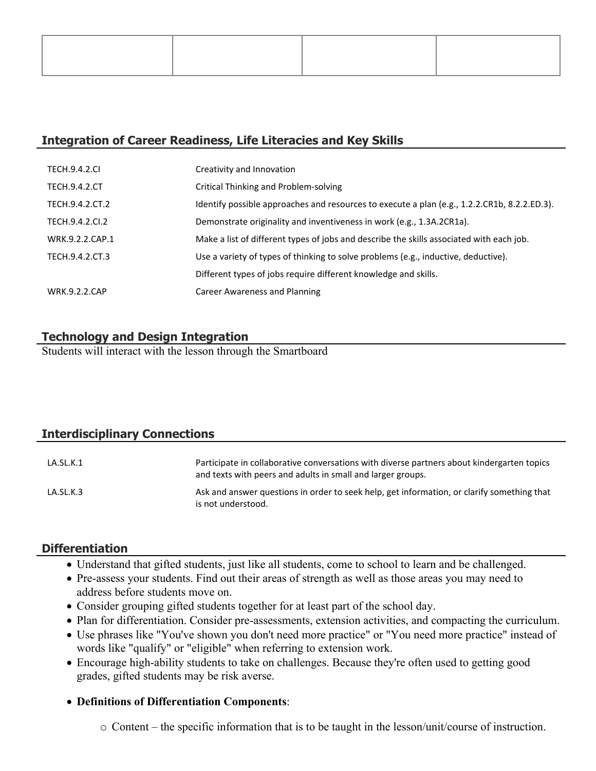## **Integration of Career Readiness, Life Literacies and Key Skills**

| <b>TECH.9.4.2.CL</b> | Creativity and Innovation                                                                    |
|----------------------|----------------------------------------------------------------------------------------------|
| <b>TECH.9.4.2.CT</b> | Critical Thinking and Problem-solving                                                        |
| TECH.9.4.2.CT.2      | Identify possible approaches and resources to execute a plan (e.g., 1.2.2.CR1b, 8.2.2.ED.3). |
| TECH.9.4.2.CI.2      | Demonstrate originality and inventiveness in work (e.g., 1.3A.2CR1a).                        |
| WRK.9.2.2.CAP.1      | Make a list of different types of jobs and describe the skills associated with each job.     |
| TECH.9.4.2.CT.3      | Use a variety of types of thinking to solve problems (e.g., inductive, deductive).           |
|                      | Different types of jobs require different knowledge and skills.                              |
| <b>WRK.9.2.2.CAP</b> | Career Awareness and Planning                                                                |

## **Technology and Design Integration**

Students will interact with the lesson through the Smartboard

## **Interdisciplinary Connections**

| LA.SL.K.1 | Participate in collaborative conversations with diverse partners about kindergarten topics<br>and texts with peers and adults in small and larger groups. |
|-----------|-----------------------------------------------------------------------------------------------------------------------------------------------------------|
| LA.SL.K.3 | Ask and answer questions in order to seek help, get information, or clarify something that<br>is not understood.                                          |

## **Differentiation**

- Understand that gifted students, just like all students, come to school to learn and be challenged.
- Pre-assess your students. Find out their areas of strength as well as those areas you may need to address before students move on.
- Consider grouping gifted students together for at least part of the school day.
- Plan for differentiation. Consider pre-assessments, extension activities, and compacting the curriculum.
- Use phrases like "You've shown you don't need more practice" or "You need more practice" instead of words like "qualify" or "eligible" when referring to extension work.
- Encourage high-ability students to take on challenges. Because they're often used to getting good grades, gifted students may be risk averse.

## **Definitions of Differentiation Components**:

o Content – the specific information that is to be taught in the lesson/unit/course of instruction.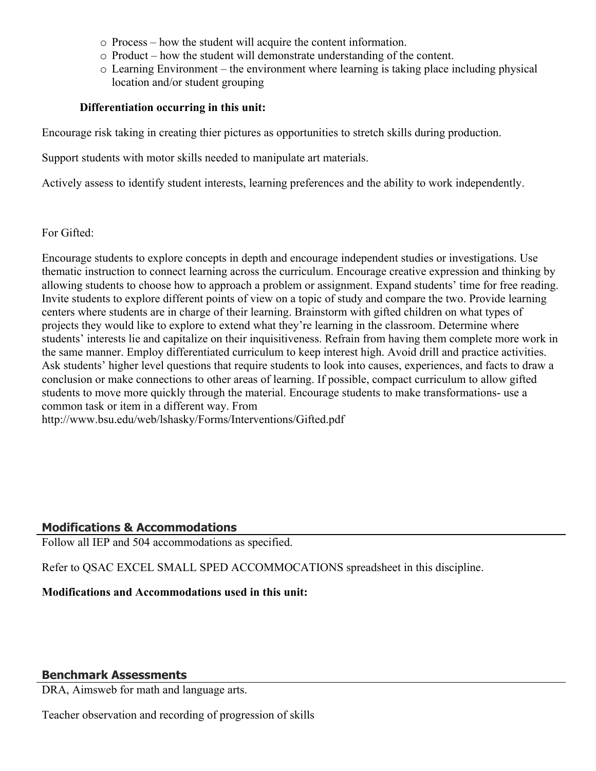- o Process how the student will acquire the content information.
- o Product how the student will demonstrate understanding of the content.
- o Learning Environment the environment where learning is taking place including physical location and/or student grouping

#### **Differentiation occurring in this unit:**

Encourage risk taking in creating thier pictures as opportunities to stretch skills during production.

Support students with motor skills needed to manipulate art materials.

Actively assess to identify student interests, learning preferences and the ability to work independently.

For Gifted:

Encourage students to explore concepts in depth and encourage independent studies or investigations. Use thematic instruction to connect learning across the curriculum. Encourage creative expression and thinking by allowing students to choose how to approach a problem or assignment. Expand students' time for free reading. Invite students to explore different points of view on a topic of study and compare the two. Provide learning centers where students are in charge of their learning. Brainstorm with gifted children on what types of projects they would like to explore to extend what they're learning in the classroom. Determine where students' interests lie and capitalize on their inquisitiveness. Refrain from having them complete more work in the same manner. Employ differentiated curriculum to keep interest high. Avoid drill and practice activities. Ask students' higher level questions that require students to look into causes, experiences, and facts to draw a conclusion or make connections to other areas of learning. If possible, compact curriculum to allow gifted students to move more quickly through the material. Encourage students to make transformations- use a common task or item in a different way. From http://www.bsu.edu/web/lshasky/Forms/Interventions/Gifted.pdf

#### **Modifications & Accommodations**

Follow all IEP and 504 accommodations as specified.

Refer to QSAC EXCEL SMALL SPED ACCOMMOCATIONS spreadsheet in this discipline.

**Modifications and Accommodations used in this unit:**

#### **Benchmark Assessments**

DRA, Aimsweb for math and language arts.

Teacher observation and recording of progression of skills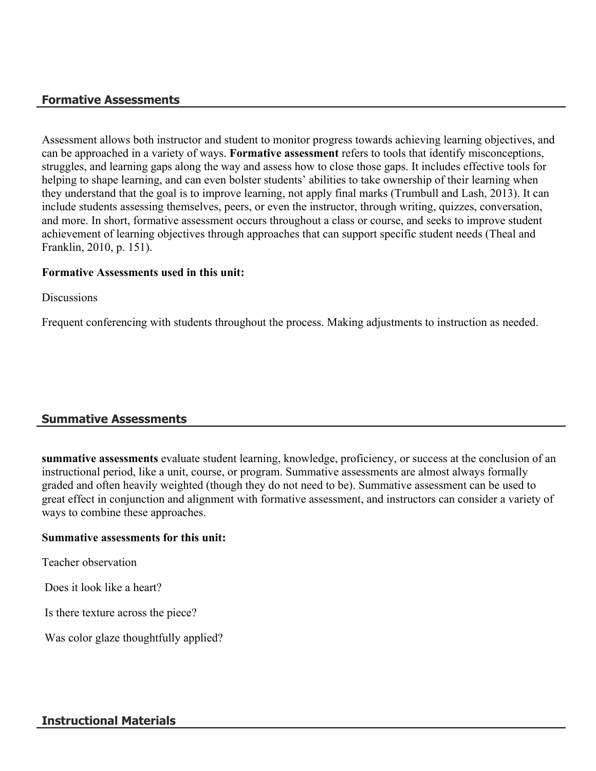#### **Formative Assessments**

Assessment allows both instructor and student to monitor progress towards achieving learning objectives, and can be approached in a variety of ways. **Formative assessment** refers to tools that identify misconceptions, struggles, and learning gaps along the way and assess how to close those gaps. It includes effective tools for helping to shape learning, and can even bolster students' abilities to take ownership of their learning when they understand that the goal is to improve learning, not apply final marks (Trumbull and Lash, 2013). It can include students assessing themselves, peers, or even the instructor, through writing, quizzes, conversation, and more. In short, formative assessment occurs throughout a class or course, and seeks to improve student achievement of learning objectives through approaches that can support specific student needs (Theal and Franklin, 2010, p. 151).

#### **Formative Assessments used in this unit:**

**Discussions** 

Frequent conferencing with students throughout the process. Making adjustments to instruction as needed.

## **Summative Assessments**

**summative assessments** evaluate student learning, knowledge, proficiency, or success at the conclusion of an instructional period, like a unit, course, or program. Summative assessments are almost always formally graded and often heavily weighted (though they do not need to be). Summative assessment can be used to great effect in conjunction and alignment with formative assessment, and instructors can consider a variety of ways to combine these approaches.

#### **Summative assessments for this unit:**

Teacher observation

Does it look like a heart?

Is there texture across the piece?

Was color glaze thoughtfully applied?